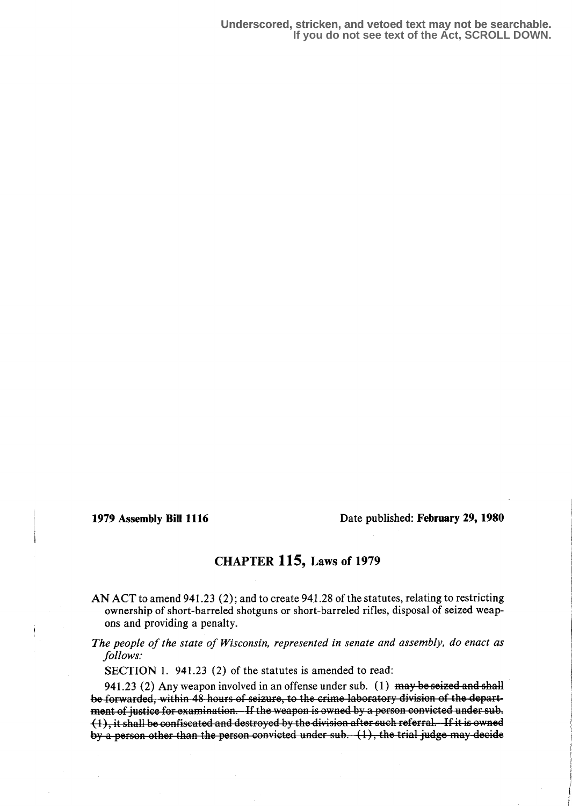1979 Assembly Bill 1116 Date published: February 29, 1980

## CHAPTER 115, Laws of 1979

AN ACT to amend 941.23 (2) ; and to create 941 .28 of the statutes, relating to restricting ownership of short-barreled shotguns or short-barreled rifles, disposal of seized weapons and providing a penalty.

The people of the state of Wisconsin, represented in senate and assembly, do enact as follows:

SECTION 1. 941.23 (2) of the statutes is amended to read:

941.23 (2) Any weapon involved in an offense under sub.  $(1)$  may be seized and shall be forwarded, within 48 hours of seizure, to the crime laboratory division of the department of justice for examination. If the weapon is owned by a person convicted under sub. (1), it shall be confiscated and destroyed by the division after such referral. If it is owned  $\frac{1}{2}$ ,  $\frac{1}{2}$  ,  $\frac{1}{2}$  are set than the person convicted under sub.  $(1)$ , the trial judge may decide